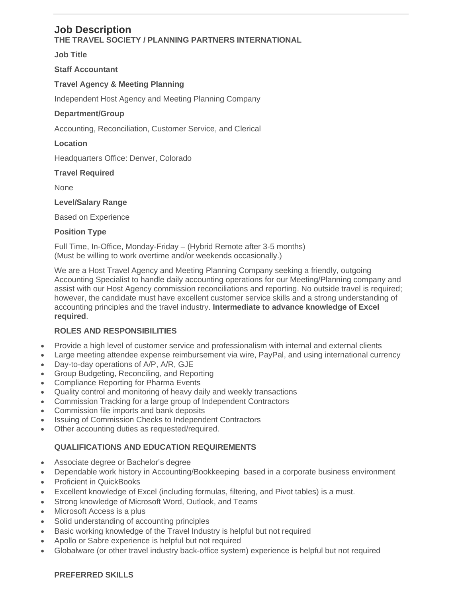# **Job Description**

#### **THE TRAVEL SOCIETY / PLANNING PARTNERS INTERNATIONAL**

**Job Title**

### **Staff Accountant**

# **Travel Agency & Meeting Planning**

Independent Host Agency and Meeting Planning Company

### **Department/Group**

Accounting, Reconciliation, Customer Service, and Clerical

## **Location**

Headquarters Office: Denver, Colorado

#### **Travel Required**

None

#### **Level/Salary Range**

Based on Experience

#### **Position Type**

Full Time, In-Office, Monday-Friday – (Hybrid Remote after 3-5 months) (Must be willing to work overtime and/or weekends occasionally.)

We are a Host Travel Agency and Meeting Planning Company seeking a friendly, outgoing Accounting Specialist to handle daily accounting operations for our Meeting/Planning company and assist with our Host Agency commission reconciliations and reporting. No outside travel is required; however, the candidate must have excellent customer service skills and a strong understanding of accounting principles and the travel industry. **Intermediate to advance knowledge of Excel required**.

#### **ROLES AND RESPONSIBILITIES**

- Provide a high level of customer service and professionalism with internal and external clients
- Large meeting attendee expense reimbursement via wire, PayPal, and using international currency
- Day-to-day operations of A/P, A/R, GJE
- Group Budgeting, Reconciling, and Reporting
- Compliance Reporting for Pharma Events
- Quality control and monitoring of heavy daily and weekly transactions
- Commission Tracking for a large group of Independent Contractors
- Commission file imports and bank deposits
- Issuing of Commission Checks to Independent Contractors
- Other accounting duties as requested/required.

#### **QUALIFICATIONS AND EDUCATION REQUIREMENTS**

- Associate degree or Bachelor's degree
- Dependable work history in Accounting/Bookkeeping based in a corporate business environment
- Proficient in QuickBooks
- Excellent knowledge of Excel (including formulas, filtering, and Pivot tables) is a must.
- Strong knowledge of Microsoft Word, Outlook, and Teams
- Microsoft Access is a plus
- Solid understanding of accounting principles
- Basic working knowledge of the Travel Industry is helpful but not required
- Apollo or Sabre experience is helpful but not required
- Globalware (or other travel industry back-office system) experience is helpful but not required

#### **PREFERRED SKILLS**